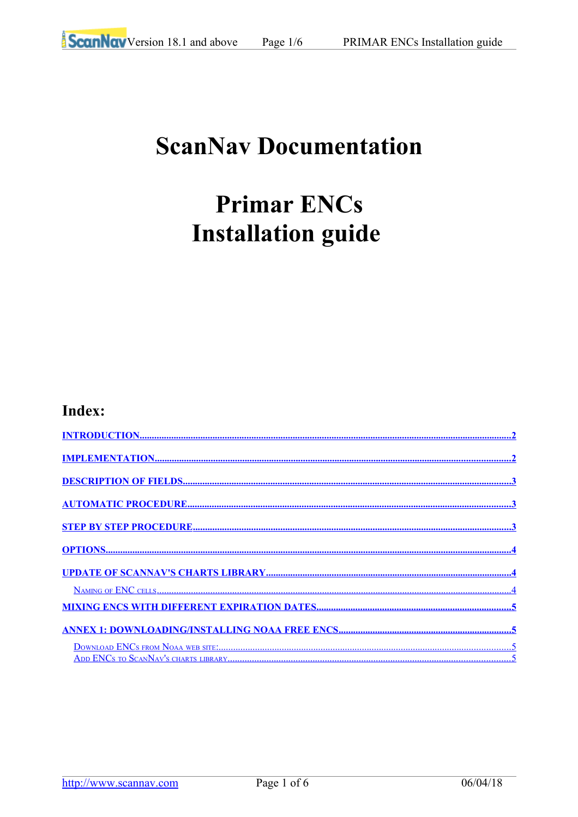# **ScanNav Documentation**

# **Primar ENCs Installation guide**

### Index: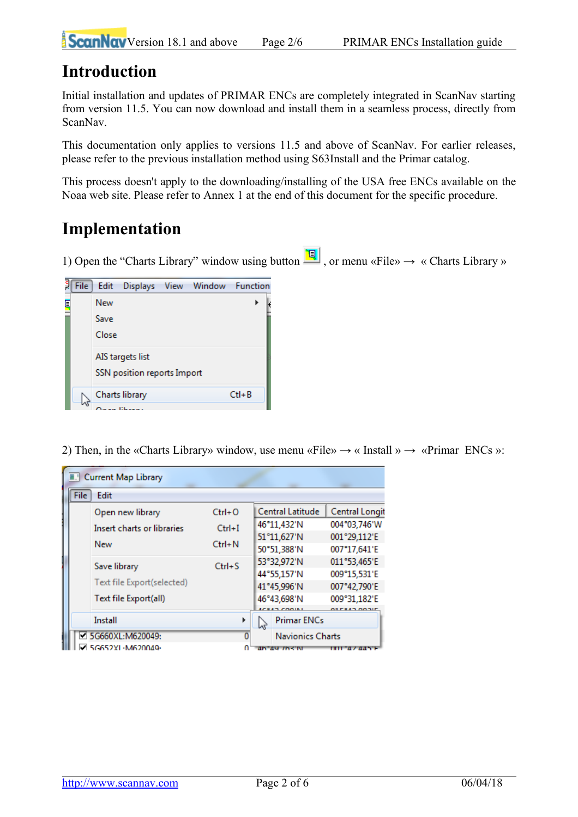# <span id="page-1-1"></span>**Introduction**

Initial installation and updates of PRIMAR ENCs are completely integrated in ScanNav starting from version 11.5. You can now download and install them in a seamless process, directly from ScanNav.

This documentation only applies to versions 11.5 and above of ScanNav. For earlier releases, please refer to the previous installation method using S63Install and the Primar catalog.

This process doesn't apply to the downloading/installing of the USA free ENCs available on the Noaa web site. Please refer to Annex 1 at the end of this document for the specific procedure.

# <span id="page-1-0"></span>**Implementation**

1) Open the "Charts Library" window using button  $\left[\frac{\mathbb{q}}{2}\right]$ , or menu «File»  $\rightarrow$  « Charts Library »



2) Then, in the «Charts Library» window, use menu «File»  $\rightarrow$  «Install »  $\rightarrow$  «Primar ENCs »:

| <b>E.</b> Current Map Library |      |                            |            |    |                         |                |  |  |
|-------------------------------|------|----------------------------|------------|----|-------------------------|----------------|--|--|
|                               | File | Edit                       |            |    |                         |                |  |  |
|                               |      | Open new library           | $Ctrl + O$ |    | <b>Central Latitude</b> | Central Longit |  |  |
|                               |      | Insert charts or libraries | $Ctrl + I$ |    | 46°11,432'N             | 004°03,746'W   |  |  |
|                               |      | New                        | $Ctrl + N$ |    | 51°11,627'N             | 001°29,112'E   |  |  |
|                               |      |                            |            |    | 50°51,388'N             | 007°17,641'E   |  |  |
|                               |      | Save library               | $Ctrl + S$ |    | 53°32,972'N             | 011°53,465'E   |  |  |
|                               |      | Text file Export(selected) |            |    | 44°55,157'N             | 009°15,531'E   |  |  |
|                               |      |                            |            |    | 41°45,996'N             | 007°42,790'E   |  |  |
|                               |      | Text file Export(all)      |            |    | 46°43,698'N             | 009°31,182'E   |  |  |
|                               |      |                            |            |    | <b>MOAD COOR</b>        | ALES LA AAAU   |  |  |
|                               |      | Install                    |            | hř | <b>Primar ENCs</b>      |                |  |  |
|                               |      | ■ 5G660XL:M620049:         | 0          |    | <b>Navionics Charts</b> |                |  |  |
|                               |      | G652XL-M620040-            |            |    | 46 49 763 N             |                |  |  |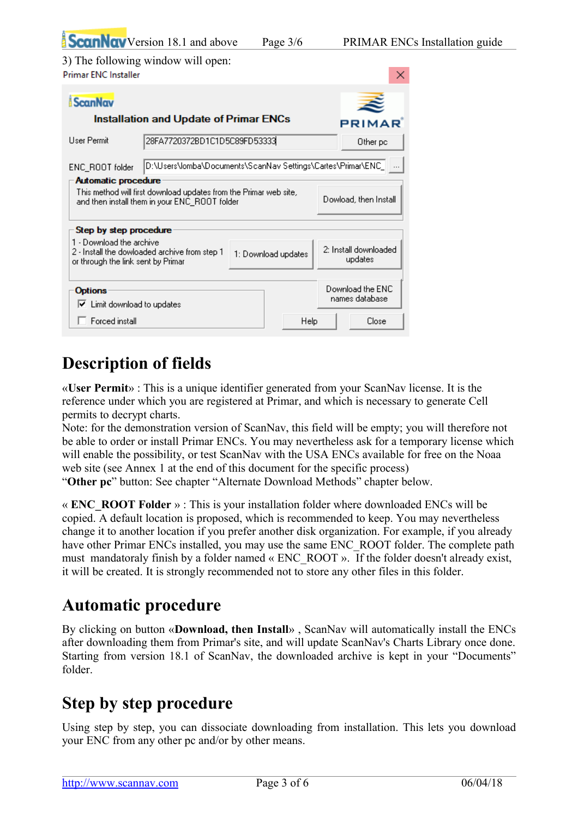|                                                                | <b>ScanNav</b> Version 18.1 and above                                                                              | Page $3/6$                       |                                    | <b>PRIMAR ENCs Installation guide</b> |
|----------------------------------------------------------------|--------------------------------------------------------------------------------------------------------------------|----------------------------------|------------------------------------|---------------------------------------|
| <b>Primar ENC Installer</b>                                    | 3) The following window will open:                                                                                 |                                  | ×                                  |                                       |
| <b>ScanNav</b>                                                 |                                                                                                                    |                                  |                                    |                                       |
|                                                                | Installation and Update of Primar ENCs                                                                             |                                  | <b>PRIMAR</b>                      |                                       |
| User Permit                                                    | 28FA7720372BD1C1D5C89FD53333                                                                                       |                                  | Other pc                           |                                       |
| ENC_ROOT folder                                                | D:\Users\lomba\Documents\ScanNav Settings\Cartes\Primar\ENC_                                                       |                                  |                                    |                                       |
| <b>Automatic procedure</b>                                     | This method will first download updates from the Primar web site,<br>and then install them in your ENC_ROOT folder | Dowload, then Install            |                                    |                                       |
| Step by step procedure                                         |                                                                                                                    |                                  |                                    |                                       |
| 1 - Download the archive<br>or through the link sent by Primar | 2 - Install the dowloaded archive from step 1                                                                      | 2: Install downloaded<br>updates |                                    |                                       |
| <b>Options</b><br>Limit download to updates<br>▽               |                                                                                                                    |                                  | Download the ENC<br>names database |                                       |

# <span id="page-2-2"></span>**Description of fields**

Forced install

«**User Permit**» : This is a unique identifier generated from your ScanNav license. It is the reference under which you are registered at Primar, and which is necessary to generate Cell permits to decrypt charts.

Note: for the demonstration version of ScanNav, this field will be empty; you will therefore not be able to order or install Primar ENCs. You may nevertheless ask for a temporary license which will enable the possibility, or test ScanNav with the USA ENCs available for free on the Noaa web site (see Annex 1 at the end of this document for the specific process) "**Other pc**" button: See chapter "Alternate Download Methods" chapter below.

Help

Close

« **ENC\_ROOT Folder** » : This is your installation folder where downloaded ENCs will be copied. A default location is proposed, which is recommended to keep. You may nevertheless change it to another location if you prefer another disk organization. For example, if you already have other Primar ENCs installed, you may use the same ENC ROOT folder. The complete path must mandatoraly finish by a folder named « ENC\_ROOT ». If the folder doesn't already exist, it will be created. It is strongly recommended not to store any other files in this folder.

# <span id="page-2-1"></span>**Automatic procedure**

By clicking on button «**Download, then Install**» , ScanNav will automatically install the ENCs after downloading them from Primar's site, and will update ScanNav's Charts Library once done. Starting from version 18.1 of ScanNav, the downloaded archive is kept in your "Documents" folder.

# <span id="page-2-0"></span>**Step by step procedure**

Using step by step, you can dissociate downloading from installation. This lets you download your ENC from any other pc and/or by other means.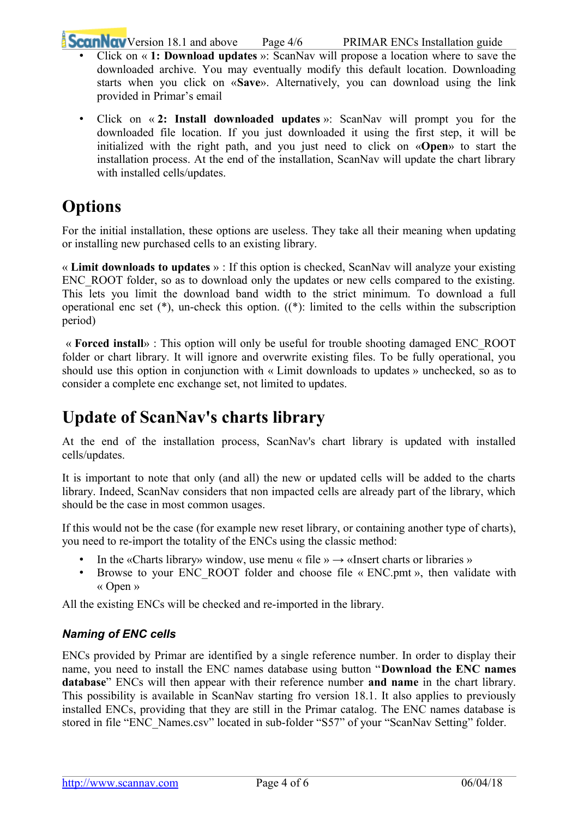**ScanNav** [V](http://www.scannav.com/)ersion 18.1 and above Page 4/6 PRIMAR ENCs Installation guide

- Click on « **1: Download updates** »: ScanNav will propose a location where to save the downloaded archive. You may eventually modify this default location. Downloading starts when you click on «**Save**». Alternatively, you can download using the link provided in Primar's email
- Click on « **2: Install downloaded updates** »: ScanNav will prompt you for the downloaded file location. If you just downloaded it using the first step, it will be initialized with the right path, and you just need to click on «**Open**» to start the installation process. At the end of the installation, ScanNav will update the chart library with installed cells/updates.

# <span id="page-3-2"></span>**Options**

For the initial installation, these options are useless. They take all their meaning when updating or installing new purchased cells to an existing library.

« **Limit downloads to updates** » : If this option is checked, ScanNav will analyze your existing ENC ROOT folder, so as to download only the updates or new cells compared to the existing. This lets you limit the download band width to the strict minimum. To download a full operational enc set (\*), un-check this option. ((\*): limited to the cells within the subscription period)

 « **Forced install**» : This option will only be useful for trouble shooting damaged ENC\_ROOT folder or chart library. It will ignore and overwrite existing files. To be fully operational, you should use this option in conjunction with « Limit downloads to updates » unchecked, so as to consider a complete enc exchange set, not limited to updates.

# <span id="page-3-1"></span>**Update of ScanNav's charts library**

At the end of the installation process, ScanNav's chart library is updated with installed cells/updates.

It is important to note that only (and all) the new or updated cells will be added to the charts library. Indeed, ScanNav considers that non impacted cells are already part of the library, which should be the case in most common usages.

If this would not be the case (for example new reset library, or containing another type of charts), you need to re-import the totality of the ENCs using the classic method:

- In the «Charts library» window, use menu « file »  $\rightarrow$  «Insert charts or libraries »
- Browse to your ENC\_ROOT folder and choose file « ENC.pmt », then validate with « Open »

All the existing ENCs will be checked and re-imported in the library.

### <span id="page-3-0"></span>*Naming of ENC cells*

ENCs provided by Primar are identified by a single reference number. In order to display their name, you need to install the ENC names database using button "**Download the ENC names database**" ENCs will then appear with their reference number **and name** in the chart library. This possibility is available in ScanNav starting fro version 18.1. It also applies to previously installed ENCs, providing that they are still in the Primar catalog. The ENC names database is stored in file "ENC\_Names.csv" located in sub-folder "S57" of your "ScanNav Setting" folder.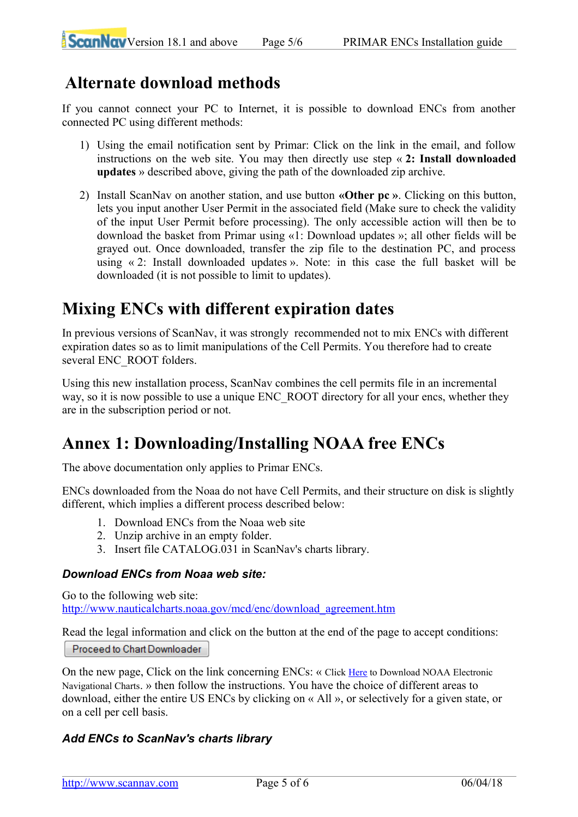# **Alternate download methods**

If you cannot connect your PC to Internet, it is possible to download ENCs from another connected PC using different methods:

- 1) Using the email notification sent by Primar: Click on the link in the email, and follow instructions on the web site. You may then directly use step « **2: Install downloaded updates** » described above, giving the path of the downloaded zip archive.
- 2) Install ScanNav on another station, and use button **«Other pc »**. Clicking on this button, lets you input another User Permit in the associated field (Make sure to check the validity of the input User Permit before processing). The only accessible action will then be to download the basket from Primar using «1: Download updates »; all other fields will be grayed out. Once downloaded, transfer the zip file to the destination PC, and process using « 2: Install downloaded updates ». Note: in this case the full basket will be downloaded (it is not possible to limit to updates).

# <span id="page-4-3"></span>**Mixing ENCs with different expiration dates**

In previous versions of ScanNav, it was strongly recommended not to mix ENCs with different expiration dates so as to limit manipulations of the Cell Permits. You therefore had to create several ENC\_ROOT folders.

Using this new installation process, ScanNav combines the cell permits file in an incremental way, so it is now possible to use a unique ENC\_ROOT directory for all your encs, whether they are in the subscription period or not.

# <span id="page-4-2"></span>**Annex 1: Downloading/Installing NOAA free ENCs**

The above documentation only applies to Primar ENCs.

ENCs downloaded from the Noaa do not have Cell Permits, and their structure on disk is slightly different, which implies a different process described below:

- 1. Download ENCs from the Noaa web site
- 2. Unzip archive in an empty folder.
- 3. Insert file CATALOG.031 in ScanNav's charts library.

#### <span id="page-4-1"></span>*Download ENCs from Noaa web site:*

Go to the following web site: [http://www.nauticalcharts.noaa.gov/mcd/enc/download\\_agreement.htm](http://www.nauticalcharts.noaa.gov/mcd/enc/download_agreement.htm)

Read the legal information and click on the button at the end of the page to accept conditions:

Proceed to Chart Downloader

On the new page, Click on the link concerning ENCs: « Click [Here](http://www.charts.noaa.gov/ENCs/ENCs.shtml) to Download NOAA Electronic Navigational Charts. » then follow the instructions. You have the choice of different areas to download, either the entire US ENCs by clicking on « All », or selectively for a given state, or on a cell per cell basis.

### <span id="page-4-0"></span>*Add ENCs to ScanNav's charts library*